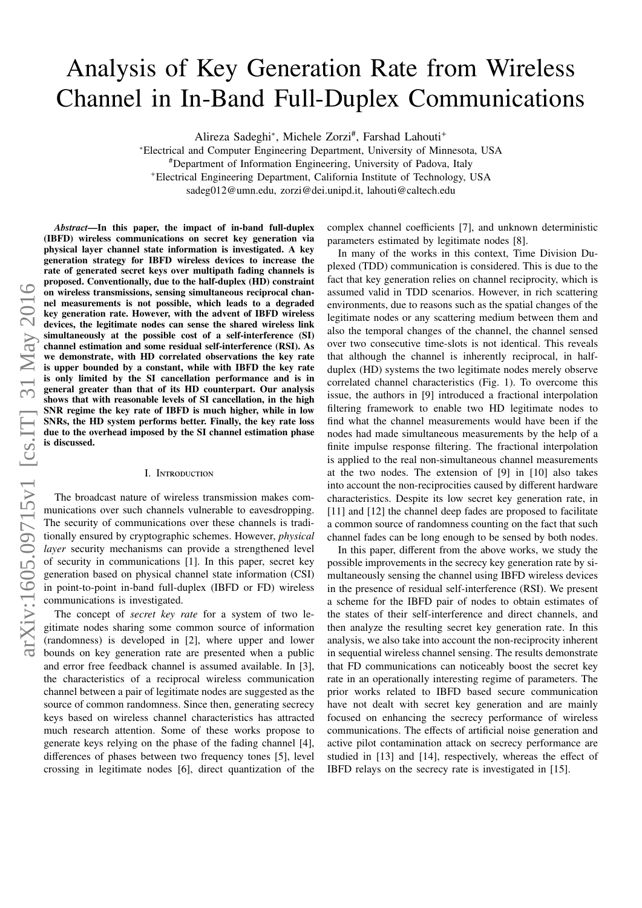# Analysis of Key Generation Rate from Wireless Channel in In-Band Full-Duplex Communications

Alireza Sadeghi\*, Michele Zorzi<sup>#</sup>, Farshad Lahouti<sup>+</sup>

<sup>∗</sup>Electrical and Computer Engineering Department, University of Minnesota, USA #Department of Information Engineering, University of Padova, Italy <sup>+</sup>Electrical Engineering Department, California Institute of Technology, USA sadeg012@umn.edu, zorzi@dei.unipd.it, lahouti@caltech.edu

*Abstract*—In this paper, the impact of in-band full-duplex (IBFD) wireless communications on secret key generation via physical layer channel state information is investigated. A key generation strategy for IBFD wireless devices to increase the rate of generated secret keys over multipath fading channels is proposed. Conventionally, due to the half-duplex (HD) constraint on wireless transmissions, sensing simultaneous reciprocal channel measurements is not possible, which leads to a degraded key generation rate. However, with the advent of IBFD wireless devices, the legitimate nodes can sense the shared wireless link simultaneously at the possible cost of a self-interference (SI) channel estimation and some residual self-interference (RSI). As we demonstrate, with HD correlated observations the key rate is upper bounded by a constant, while with IBFD the key rate is only limited by the SI cancellation performance and is in general greater than that of its HD counterpart. Our analysis shows that with reasonable levels of SI cancellation, in the high SNR regime the key rate of IBFD is much higher, while in low SNRs, the HD system performs better. Finally, the key rate loss due to the overhead imposed by the SI channel estimation phase is discussed.

## I. Introduction

The broadcast nature of wireless transmission makes communications over such channels vulnerable to eavesdropping. The security of communications over these channels is traditionally ensured by cryptographic schemes. However, *physical layer* security mechanisms can provide a strengthened level of security in communications [1]. In this paper, secret key generation based on physical channel state information (CSI) in point-to-point in-band full-duplex (IBFD or FD) wireless communications is investigated.

The concept of *secret key rate* for a system of two legitimate nodes sharing some common source of information (randomness) is developed in [2], where upper and lower bounds on key generation rate are presented when a public and error free feedback channel is assumed available. In [3], the characteristics of a reciprocal wireless communication channel between a pair of legitimate nodes are suggested as the source of common randomness. Since then, generating secrecy keys based on wireless channel characteristics has attracted much research attention. Some of these works propose to generate keys relying on the phase of the fading channel [4], differences of phases between two frequency tones [5], level crossing in legitimate nodes [6], direct quantization of the complex channel coefficients [7], and unknown deterministic parameters estimated by legitimate nodes [8].

In many of the works in this context, Time Division Duplexed (TDD) communication is considered. This is due to the fact that key generation relies on channel reciprocity, which is assumed valid in TDD scenarios. However, in rich scattering environments, due to reasons such as the spatial changes of the legitimate nodes or any scattering medium between them and also the temporal changes of the channel, the channel sensed over two consecutive time-slots is not identical. This reveals that although the channel is inherently reciprocal, in halfduplex (HD) systems the two legitimate nodes merely observe correlated channel characteristics (Fig. 1). To overcome this issue, the authors in [9] introduced a fractional interpolation filtering framework to enable two HD legitimate nodes to find what the channel measurements would have been if the nodes had made simultaneous measurements by the help of a finite impulse response filtering. The fractional interpolation is applied to the real non-simultaneous channel measurements at the two nodes. The extension of [9] in [10] also takes into account the non-reciprocities caused by different hardware characteristics. Despite its low secret key generation rate, in [11] and [12] the channel deep fades are proposed to facilitate a common source of randomness counting on the fact that such channel fades can be long enough to be sensed by both nodes.

In this paper, different from the above works, we study the possible improvements in the secrecy key generation rate by simultaneously sensing the channel using IBFD wireless devices in the presence of residual self-interference (RSI). We present a scheme for the IBFD pair of nodes to obtain estimates of the states of their self-interference and direct channels, and then analyze the resulting secret key generation rate. In this analysis, we also take into account the non-reciprocity inherent in sequential wireless channel sensing. The results demonstrate that FD communications can noticeably boost the secret key rate in an operationally interesting regime of parameters. The prior works related to IBFD based secure communication have not dealt with secret key generation and are mainly focused on enhancing the secrecy performance of wireless communications. The effects of artificial noise generation and active pilot contamination attack on secrecy performance are studied in [13] and [14], respectively, whereas the effect of IBFD relays on the secrecy rate is investigated in [15].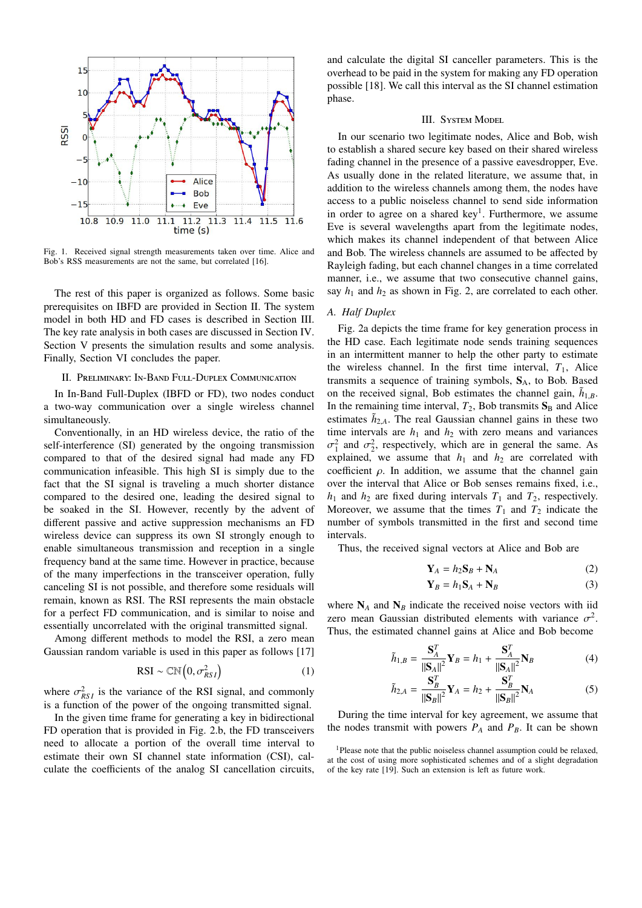

Fig. 1. Received signal strength measurements taken over time. Alice and Bob's RSS measurements are not the same, but correlated [16].

The rest of this paper is organized as follows. Some basic prerequisites on IBFD are provided in Section II. The system model in both HD and FD cases is described in Section III. The key rate analysis in both cases are discussed in Section IV. Section V presents the simulation results and some analysis. Finally, Section VI concludes the paper.

### II. Preliminary: In-Band Full-Duplex Communication

In In-Band Full-Duplex (IBFD or FD), two nodes conduct a two-way communication over a single wireless channel simultaneously.

Conventionally, in an HD wireless device, the ratio of the self-interference (SI) generated by the ongoing transmission compared to that of the desired signal had made any FD communication infeasible. This high SI is simply due to the fact that the SI signal is traveling a much shorter distance compared to the desired one, leading the desired signal to be soaked in the SI. However, recently by the advent of different passive and active suppression mechanisms an FD wireless device can suppress its own SI strongly enough to enable simultaneous transmission and reception in a single frequency band at the same time. However in practice, because of the many imperfections in the transceiver operation, fully canceling SI is not possible, and therefore some residuals will remain, known as RSI. The RSI represents the main obstacle for a perfect FD communication, and is similar to noise and essentially uncorrelated with the original transmitted signal.

Among different methods to model the RSI, a zero mean Gaussian random variable is used in this paper as follows [17]

$$
RSI \sim \mathbb{CN}\left(0, \sigma_{RSI}^2\right) \tag{1}
$$

where  $\sigma_{RSI}^2$  is the variance of the RSI signal, and commonly is a function of the power of the oppoint transmitted signal. is a function of the power of the ongoing transmitted signal.

In the given time frame for generating a key in bidirectional FD operation that is provided in Fig. 2.b, the FD transceivers need to allocate a portion of the overall time interval to estimate their own SI channel state information (CSI), calculate the coefficients of the analog SI cancellation circuits, and calculate the digital SI canceller parameters. This is the overhead to be paid in the system for making any FD operation possible [18]. We call this interval as the SI channel estimation phase.

# III. System Model

In our scenario two legitimate nodes, Alice and Bob, wish to establish a shared secure key based on their shared wireless fading channel in the presence of a passive eavesdropper, Eve. As usually done in the related literature, we assume that, in addition to the wireless channels among them, the nodes have access to a public noiseless channel to send side information in order to agree on a shared key<sup>1</sup>. Furthermore, we assume Eve is several wavelengths apart from the legitimate nodes, which makes its channel independent of that between Alice and Bob. The wireless channels are assumed to be affected by Rayleigh fading, but each channel changes in a time correlated manner, i.e., we assume that two consecutive channel gains, say  $h_1$  and  $h_2$  as shown in Fig. 2, are correlated to each other.

# *A. Half Duplex*

Fig. 2a depicts the time frame for key generation process in the HD case. Each legitimate node sends training sequences in an intermittent manner to help the other party to estimate the wireless channel. In the first time interval,  $T_1$ , Alice transmits a sequence of training symbols,  $S_A$ , to Bob. Based on the received signal, Bob estimates the channel gain,  $\tilde{h}_{1,B}$ <br>In the remaining time interval,  $T$ , Bob transmite  $S$ , and Alice In the remaining time interval,  $T_2$ , Bob transmits  $S_B$  and Alice estimates  $\tilde{h}_{2,A}$ . The real Gaussian channel gains in these two<br>time intervals are heard he with zero means and variances time intervals are  $h_1$  and  $h_2$  with zero means and variances explained, we assume that  $h_1$  and  $h_2$  are correlated with <sup>2</sup>/<sub>1</sub> and  $\sigma_2^2$ , respectively, which are in general the same. As coefficient  $\rho$ . In addition, we assume that the channel gain over the interval that Alice or Bob senses remains fixed, i.e.,  $h_1$  and  $h_2$  are fixed during intervals  $T_1$  and  $T_2$ , respectively. Moreover, we assume that the times  $T_1$  and  $T_2$  indicate the number of symbols transmitted in the first and second time intervals.

Thus, the received signal vectors at Alice and Bob are

$$
\mathbf{Y}_A = h_2 \mathbf{S}_B + \mathbf{N}_A \tag{2}
$$

$$
\mathbf{Y}_B = h_1 \mathbf{S}_A + \mathbf{N}_B \tag{3}
$$

where  $N_A$  and  $N_B$  indicate the received noise vectors with iid zero mean Gaussian distributed elements with variance  $\sigma^2$ .<br>Thus the estimated channel gains at Alice and Bob become Thus, the estimated channel gains at Alice and Bob become

$$
\tilde{h}_{1,B} = \frac{\mathbf{S}_A^T}{\|\mathbf{S}_A\|^2} \mathbf{Y}_B = h_1 + \frac{\mathbf{S}_A^T}{\|\mathbf{S}_A\|^2} \mathbf{N}_B
$$
(4)

$$
\tilde{h}_{2,A} = \frac{\mathbf{S}_B^T}{\|\mathbf{S}_B\|^2} \mathbf{Y}_A = h_2 + \frac{\mathbf{S}_B^T}{\|\mathbf{S}_B\|^2} \mathbf{N}_A
$$
\n(5)

During the time interval for key agreement, we assume that the nodes transmit with powers  $P_A$  and  $P_B$ . It can be shown

<sup>&</sup>lt;sup>1</sup>Please note that the public noiseless channel assumption could be relaxed, at the cost of using more sophisticated schemes and of a slight degradation of the key rate [19]. Such an extension is left as future work.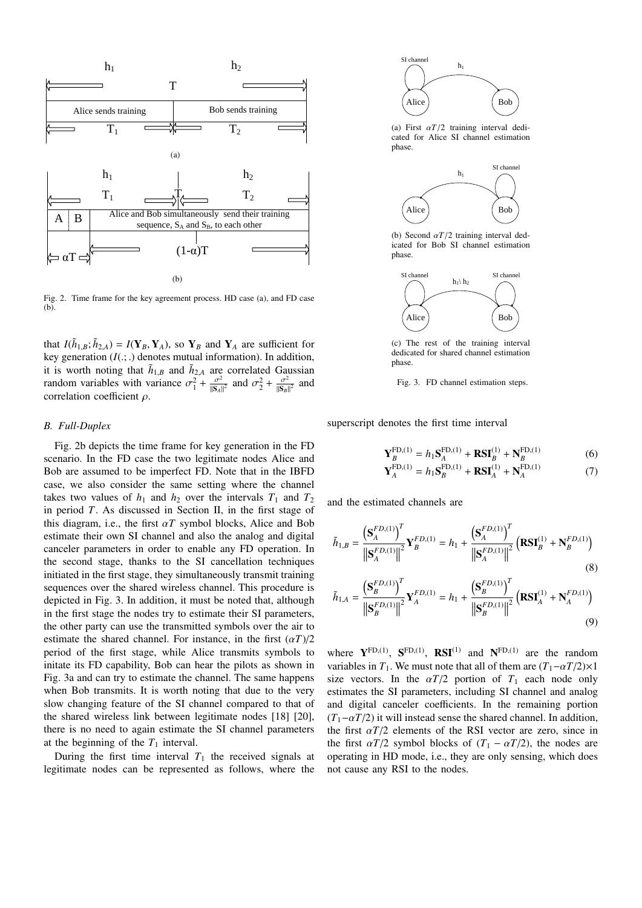

Fig. 2. Time frame for the key agreement process. HD case (a), and FD case (b).

that  $I(\tilde{h}_{1,B}; \tilde{h}_{2,A}) = I(Y_B, Y_A)$ , so  $Y_B$  and  $Y_A$  are sufficient for key generation  $(I(\cdot))$  denotes mutual information). In addition key generation  $(I(.; .))$  denotes mutual information). In addition, it is worth noting that  $\tilde{h}_{1,B}$  and  $\tilde{h}_{2,A}$  are correlated Gaussian random variables with variance  $\sigma_1^2 + \frac{\sigma^2}{\|\mathbf{S}_A\|}$  $\frac{\sigma^2}{\|\mathbf{S}_A\|^2}$  and  $\sigma_2^2 + \frac{\sigma^2}{\|\mathbf{S}_B\|}$  $\frac{\sigma^2}{\|\mathbf{S}_B\|^2}$  and correlation coefficient ρ.

### *B. Full-Duplex*

Fig. 2b depicts the time frame for key generation in the FD scenario. In the FD case the two legitimate nodes Alice and Bob are assumed to be imperfect FD. Note that in the IBFD case, we also consider the same setting where the channel takes two values of  $h_1$  and  $h_2$  over the intervals  $T_1$  and  $T_2$ in period *T*. As discussed in Section II, in the first stage of this diagram, i.e., the first  $\alpha T$  symbol blocks, Alice and Bob estimate their own SI channel and also the analog and digital canceler parameters in order to enable any FD operation. In the second stage, thanks to the SI cancellation techniques initiated in the first stage, they simultaneously transmit training sequences over the shared wireless channel. This procedure is depicted in Fig. 3. In addition, it must be noted that, although in the first stage the nodes try to estimate their SI parameters, the other party can use the transmitted symbols over the air to estimate the shared channel. For instance, in the first  $(\alpha T)/2$ period of the first stage, while Alice transmits symbols to initate its FD capability, Bob can hear the pilots as shown in Fig. 3a and can try to estimate the channel. The same happens when Bob transmits. It is worth noting that due to the very slow changing feature of the SI channel compared to that of the shared wireless link between legitimate nodes [18] [20], there is no need to again estimate the SI channel parameters at the beginning of the  $T_1$  interval.

During the first time interval  $T_1$  the received signals at legitimate nodes can be represented as follows, where the



(a) First  $\alpha T/2$  training interval dedicated for Alice SI channel estimation phase.



(b) Second α*T*/2 training interval dedicated for Bob SI channel estimation phase.



(c) The rest of the training interval dedicated for shared channel estimation phase.

Fig. 3. FD channel estimation steps.

superscript denotes the first time interval

$$
\mathbf{Y}_{B}^{\text{FD},(1)} = h_1 \mathbf{S}_{A}^{\text{FD},(1)} + \mathbf{R} \mathbf{S} \mathbf{I}_{B}^{(1)} + \mathbf{N}_{B}^{\text{FD},(1)} \tag{6}
$$

$$
\mathbf{Y}_{A}^{\text{FD},(1)} = h_1 \mathbf{S}_{B}^{\text{FD},(1)} + \mathbf{R} \mathbf{S} \mathbf{I}_{A}^{(1)} + \mathbf{N}_{A}^{\text{FD},(1)} \tag{7}
$$

and the estimated channels are

$$
\tilde{h}_{1,B} = \frac{\left(\mathbf{S}_{A}^{FD,(1)}\right)^{T}}{\left\|\mathbf{S}_{A}^{FD,(1)}\right\|^{2}} \mathbf{Y}_{B}^{FD,(1)} = h_{1} + \frac{\left(\mathbf{S}_{A}^{FD,(1)}\right)^{T}}{\left\|\mathbf{S}_{A}^{FD,(1)}\right\|^{2}} \left(\mathbf{R}\mathbf{SI}_{B}^{(1)} + \mathbf{N}_{B}^{FD,(1)}\right)
$$
\n
$$
\tilde{h}_{1,A} = \frac{\left(\mathbf{S}_{B}^{FD,(1)}\right)^{T}}{\left\|\mathbf{S}_{B}^{FD,(1)}\right\|^{2}} \mathbf{Y}_{A}^{FD,(1)} = h_{1} + \frac{\left(\mathbf{S}_{B}^{FD,(1)}\right)^{T}}{\left\|\mathbf{S}_{B}^{FD,(1)}\right\|^{2}} \left(\mathbf{R}\mathbf{SI}_{A}^{(1)} + \mathbf{N}_{A}^{FD,(1)}\right)
$$
\n(8)

$$
I = \frac{\left| \left| \mathbf{S}_{B}^{FD,(1)} \right| \right|^{2}}{\left| \mathbf{S}_{B}^{FD,(1)} \right|^{2}} \left| \mathbf{S}_{B}^{FD,(1)} \right|^{2}} \left( \mathbf{K} \mathbf{S} \mathbf{I}_{A} + \mathbf{N}_{A} \right)
$$
(9)

where  $Y^{FD,(1)}$ ,  $S^{FD,(1)}$ ,  $RSI^{(1)}$  and  $N^{FD,(1)}$  are the random variables in  $T_1$ . We must note that all of them are  $(T_1 - \alpha T/2) \times 1$ size vectors. In the  $\alpha T/2$  portion of  $T_1$  each node only estimates the SI parameters, including SI channel and analog and digital canceler coefficients. In the remaining portion  $(T_1-\alpha T/2)$  it will instead sense the shared channel. In addition, the first  $\alpha T/2$  elements of the RSI vector are zero, since in the first  $\alpha T/2$  symbol blocks of  $(T_1 - \alpha T/2)$ , the nodes are operating in HD mode, i.e., they are only sensing, which does not cause any RSI to the nodes.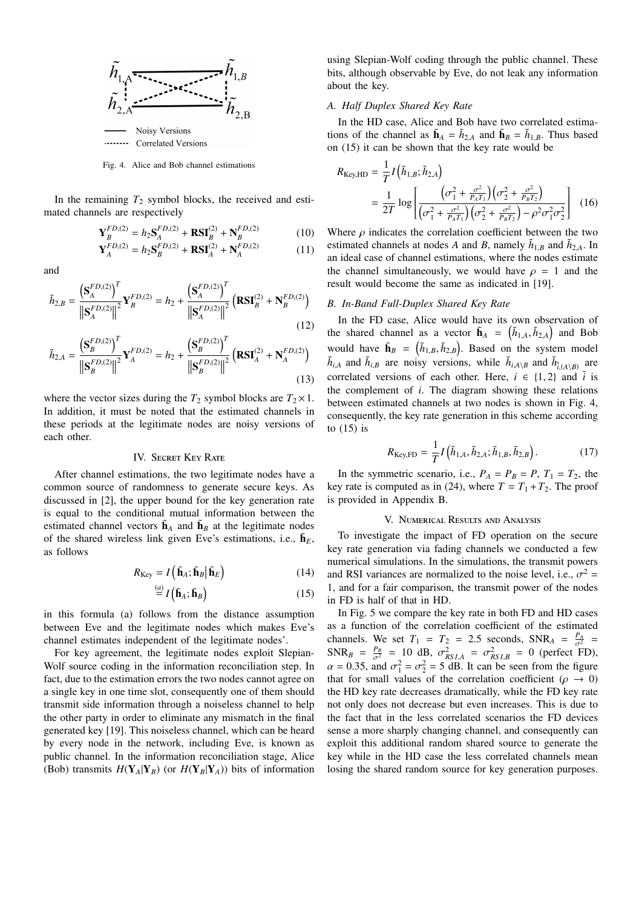

Fig. 4. Alice and Bob channel estimations

In the remaining  $T_2$  symbol blocks, the received and estimated channels are respectively

$$
\mathbf{Y}_{B}^{FD,(2)} = h_{2} \mathbf{S}_{A}^{FD,(2)} + \mathbf{R} \mathbf{S} \mathbf{I}_{B}^{(2)} + \mathbf{N}_{B}^{FD,(2)}
$$
(10)

$$
\mathbf{Y}_{A}^{FD,(2)} = h_2 \mathbf{S}_{B}^{FD,(2)} + \mathbf{R} \mathbf{S} \mathbf{I}_{A}^{(2)} + \mathbf{N}_{A}^{FD,(2)}
$$
(11)

and

$$
\tilde{h}_{2,B} = \frac{\left(\mathbf{S}_{A}^{FD,(2)}\right)^{T}}{\left\|\mathbf{S}_{A}^{FD,(2)}\right\|^{2}} \mathbf{Y}_{B}^{FD,(2)} = h_{2} + \frac{\left(\mathbf{S}_{A}^{FD,(2)}\right)^{T}}{\left\|\mathbf{S}_{A}^{FD,(2)}\right\|^{2}} \left(\mathbf{RST}_{B}^{(2)} + \mathbf{N}_{B}^{FD,(2)}\right)
$$
\n(12)

$$
\tilde{h}_{2,A} = \frac{\left(\mathbf{S}_{B}^{FD,(2)}\right)^{T}}{\left\|\mathbf{S}_{B}^{FD,(2)}\right\|^{2}} \mathbf{Y}_{A}^{FD,(2)} = h_{2} + \frac{\left(\mathbf{S}_{B}^{FD,(2)}\right)^{T}}{\left\|\mathbf{S}_{B}^{FD,(2)}\right\|^{2}} \left(\mathbf{RST}_{A}^{(2)} + \mathbf{N}_{A}^{FD,(2)}\right)
$$
\n(13)

where the vector sizes during the  $T_2$  symbol blocks are  $T_2 \times 1$ . In addition, it must be noted that the estimated channels in these periods at the legitimate nodes are noisy versions of each other.

## IV. SECRET KEY RATE

After channel estimations, the two legitimate nodes have a common source of randomness to generate secure keys. As discussed in [2], the upper bound for the key generation rate is equal to the conditional mutual information between the estimated channel vectors  $\tilde{\mathbf{h}}_A$  and  $\tilde{\mathbf{h}}_B$  at the legitimate nodes of the shared wireless link given Eve's estimations, i.e.,  $\tilde{\mathbf{h}}_E$ , as follows

$$
R_{\text{Key}} = I\left(\tilde{\mathbf{h}}_{A}; \tilde{\mathbf{h}}_{B} \middle| \tilde{\mathbf{h}}_{E}\right) \tag{14}
$$

$$
\stackrel{(a)}{=} I(\tilde{\mathbf{h}}_A; \tilde{\mathbf{h}}_B) \tag{15}
$$

in this formula (a) follows from the distance assumption between Eve and the legitimate nodes which makes Eve's channel estimates independent of the legitimate nodes'.

For key agreement, the legitimate nodes exploit Slepian-Wolf source coding in the information reconciliation step. In fact, due to the estimation errors the two nodes cannot agree on a single key in one time slot, consequently one of them should transmit side information through a noiseless channel to help the other party in order to eliminate any mismatch in the final generated key [19]. This noiseless channel, which can be heard by every node in the network, including Eve, is known as public channel. In the information reconciliation stage, Alice (Bob) transmits  $H(Y_A|Y_B)$  (or  $H(Y_B|Y_A)$ ) bits of information using Slepian-Wolf coding through the public channel. These bits, although observable by Eve, do not leak any information about the key.

## *A. Half Duplex Shared Key Rate*

In the HD case, Alice and Bob have two correlated estimations of the channel as  $\tilde{\mathbf{h}}_A = \tilde{h}_{2,A}$  and  $\tilde{\mathbf{h}}_B = \tilde{h}_{1,B}$ . Thus based on (15) it can be shown that the key rate would be

$$
R_{\text{Key,HD}} = \frac{1}{T} I\left(\tilde{h}_{1,B}; \tilde{h}_{2,A}\right)
$$
  
= 
$$
\frac{1}{2T} \log \left[ \frac{\left(\sigma_1^2 + \frac{\sigma^2}{P_A T_1}\right) \left(\sigma_2^2 + \frac{\sigma^2}{P_B T_2}\right)}{\left(\sigma_1^2 + \frac{\sigma^2}{P_A T_1}\right) \left(\sigma_2^2 + \frac{\sigma^2}{P_B T_2}\right) - \rho^2 \sigma_1^2 \sigma_2^2} \right]
$$
(16)

Where  $\rho$  indicates the correlation coefficient between the two estimated channels at nodes *A* and *B*, namely  $\tilde{h}_{1,B}$  and  $\tilde{h}_{2,A}$ . In an ideal case of channel estimations, where the nodes estimate the channel simultaneously, we would have  $\rho = 1$  and the result would become the same as indicated in [19].

## *B. In-Band Full-Duplex Shared Key Rate*

In the FD case, Alice would have its own observation of the shared channel as a vector  $\tilde{\mathbf{h}}_A = (\tilde{h}_{1,A}, \tilde{h}_{2,A})$  and Bob would have  $\tilde{\mathbf{h}}_B = (\tilde{h}_{1,B}, \tilde{h}_{2,B})$ . Based on the system model  $\tilde{h}_{i,A}$  and  $\tilde{h}_{i,B}$  are noisy versions, while  $\tilde{h}_{i,A\setminus B}$  and  $\tilde{h}_{i,(A\setminus B)}$  are arrestored versions of each other. Here  $i \in \{1, 2\}$  and  $\tilde{i}$  is correlated versions of each other. Here,  $i \in \{1, 2\}$  and  $\overline{i}$  is the complement of *i*. The diagram showing these relations between estimated channels at two nodes is shown in Fig. 4, consequently, the key rate generation in this scheme according to  $(15)$  is

$$
R_{\text{Key,FD}} = \frac{1}{T} I\left(\tilde{h}_{1,A}, \tilde{h}_{2,A}; \tilde{h}_{1,B}, \tilde{h}_{2,B}\right).
$$
 (17)

In the symmetric scenario, i.e.,  $P_A = P_B = P$ ,  $T_1 = T_2$ , the key rate is computed as in (24), where  $T = T_1 + T_2$ . The proof is provided in Appendix B.

#### V. Numerical Results and Analysis

To investigate the impact of FD operation on the secure key rate generation via fading channels we conducted a few numerical simulations. In the simulations, the transmit powers and RSI variances are normalized to the noise level, i.e.,  $\sigma^2 = 1$  and for a fair comparison, the transmit power of the nodes 1, and for a fair comparison, the transmit power of the nodes in FD is half of that in HD.

In Fig. 5 we compare the key rate in both FD and HD cases as a function of the correlation coefficient of the estimated channels. We set  $T_1 = T_2 = 2.5$  seconds,  $SNR_A = \frac{P_A}{\sigma^2} = SNR_B = \frac{P_B}{P} = 10$  dB  $\sigma^2 = \sigma^2 = 0$  (perfect ED)  $SNR_B = \frac{P_B}{\sigma^2} = 10 \text{ dB}, \ \sigma^2_{RSI,A} = \sigma^2_{RSI,B} = 0 \text{ (perfect FD)},$ <br> $\alpha = 0.35 \text{ and } \sigma^2 = \sigma^2 = 5 \text{ dB}$ . It can be seen from the figure  $\alpha = 0.35$ , and  $\sigma_1^2 = \sigma_2^2 = 5$  dB. It can be seen from the figure that for small values of the correlation coefficient ( $\rho \rightarrow 0$ ) the HD key rate decreases dramatically, while the FD key rate not only does not decrease but even increases. This is due to the fact that in the less correlated scenarios the FD devices sense a more sharply changing channel, and consequently can exploit this additional random shared source to generate the key while in the HD case the less correlated channels mean losing the shared random source for key generation purposes.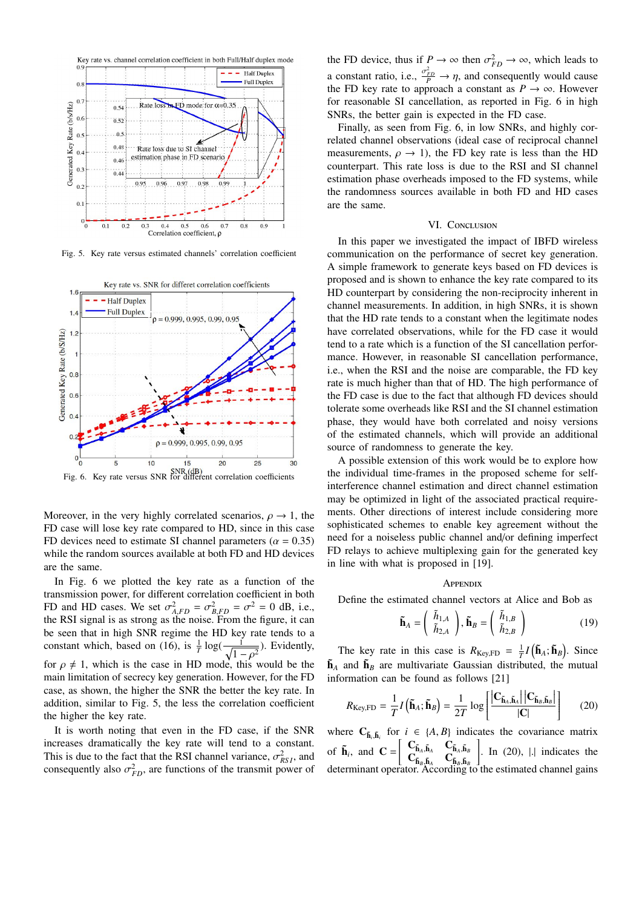

Fig. 5. Key rate versus estimated channels' correlation coefficient



Moreover, in the very highly correlated scenarios,  $\rho \rightarrow 1$ , the FD case will lose key rate compared to HD, since in this case FD devices need to estimate SI channel parameters ( $\alpha = 0.35$ ) while the random sources available at both FD and HD devices are the same.

In Fig. 6 we plotted the key rate as a function of the transmission power, for different correlation coefficient in both FD and HD cases. We set  $\sigma_{A,FD}^2 = \sigma_{B,FD}^2 = \sigma^2 = 0$  dB, i.e., the RSI signal is as strong as the noise. From the figure it can the RSI signal is as strong as the noise. From the figure, it can be seen that in high SNR regime the HD key rate tends to a constant which, based on (16), is  $\frac{1}{T} \log(\frac{1}{\sqrt{1-\epsilon}})$  $\frac{1}{1-\rho^2}$ ). Evidently,<br>this would be the for  $\rho \neq 1$ , which is the case in HD mode, this would be the main limitation of secrecy key generation. However, for the FD case, as shown, the higher the SNR the better the key rate. In addition, similar to Fig. 5, the less the correlation coefficient the higher the key rate.

It is worth noting that even in the FD case, if the SNR increases dramatically the key rate will tend to a constant. This is due to the fact that the RSI channel variance,  $\sigma_{RS}^2$ , and consequently also  $\sigma^2$  are functions of the transmit power of consequently also  $\sigma_{FD}^2$ , are functions of the transmit power of

the FD device, thus if  $P \to \infty$  then  $\sigma_{FD}^2 \to \infty$ , which leads to a constant ratio, i.e.,  $\frac{\sigma_{FD}^2}{P} \rightarrow \eta$ , and consequently would cause<br>the FD key rate to approach a constant as  $P \rightarrow \infty$ . However the FD key rate to approach a constant as  $P \to \infty$ . However for reasonable SI cancellation, as reported in Fig. 6 in high SNRs, the better gain is expected in the FD case.

Finally, as seen from Fig. 6, in low SNRs, and highly correlated channel observations (ideal case of reciprocal channel measurements,  $\rho \rightarrow 1$ ), the FD key rate is less than the HD counterpart. This rate loss is due to the RSI and SI channel estimation phase overheads imposed to the FD systems, while the randomness sources available in both FD and HD cases are the same.

## VI. CONCLUSION

In this paper we investigated the impact of IBFD wireless communication on the performance of secret key generation. A simple framework to generate keys based on FD devices is proposed and is shown to enhance the key rate compared to its HD counterpart by considering the non-reciprocity inherent in channel measurements. In addition, in high SNRs, it is shown that the HD rate tends to a constant when the legitimate nodes have correlated observations, while for the FD case it would tend to a rate which is a function of the SI cancellation performance. However, in reasonable SI cancellation performance, i.e., when the RSI and the noise are comparable, the FD key rate is much higher than that of HD. The high performance of the FD case is due to the fact that although FD devices should tolerate some overheads like RSI and the SI channel estimation phase, they would have both correlated and noisy versions of the estimated channels, which will provide an additional source of randomness to generate the key.

A possible extension of this work would be to explore how the individual time-frames in the proposed scheme for selfinterference channel estimation and direct channel estimation may be optimized in light of the associated practical requirements. Other directions of interest include considering more sophisticated schemes to enable key agreement without the need for a noiseless public channel and/or defining imperfect FD relays to achieve multiplexing gain for the generated key in line with what is proposed in [19].

#### **APPENDIX**

Define the estimated channel vectors at Alice and Bob as

$$
\tilde{\mathbf{h}}_A = \begin{pmatrix} \tilde{h}_{1,A} \\ \tilde{h}_{2,A} \end{pmatrix}, \tilde{\mathbf{h}}_B = \begin{pmatrix} \tilde{h}_{1,B} \\ \tilde{h}_{2,B} \end{pmatrix}
$$
(19)

The key rate in this case is  $R_{\text{Key,FD}} = \frac{1}{T}I(\tilde{\mathbf{h}}_A; \tilde{\mathbf{h}}_B)$ . Since  $\tilde{\mathbf{h}}_A$  and  $\tilde{\mathbf{h}}_B$  are multivariate Gaussian distributed, the mutual information can be found as follows [21]

$$
R_{\text{Key,FD}} = \frac{1}{T} I\left(\tilde{\mathbf{h}}_A; \tilde{\mathbf{h}}_B\right) = \frac{1}{2T} \log \left[\frac{\left|\mathbf{C}_{\tilde{\mathbf{h}}_A, \tilde{\mathbf{h}}_A}\right| \left|\mathbf{C}_{\tilde{\mathbf{h}}_B, \tilde{\mathbf{h}}_B}\right|}{|\mathbf{C}|}\right] \tag{20}
$$

where  $C_{\tilde{h}_i, \tilde{h}_i}$  for  $i \in \{A, B\}$  indicates the covariance matrix  $i, \tilde{\mathbf{h}}_i$ of  $\tilde{\mathbf{h}}_i$ , and  $\mathbf{C} = \begin{bmatrix} \mathbf{C}_{\tilde{\mathbf{h}}_A, \tilde{\mathbf{h}}_A} & \mathbf{C}_{\tilde{\mathbf{h}}_B, \tilde{\mathbf{h}}_A} \\ \mathbf{C}_{\tilde{\mathbf{h}}_B, \tilde{\mathbf{h}}_A} & \mathbf{C}_{\tilde{\mathbf{h}}_B, \tilde{\mathbf{h}}_B} \\ \text{determinant operator. According} \end{bmatrix}$  $\left| \right|$ . In (20),  $\left| \right|$  indicates the determinant operator. According to the estimated channel gains